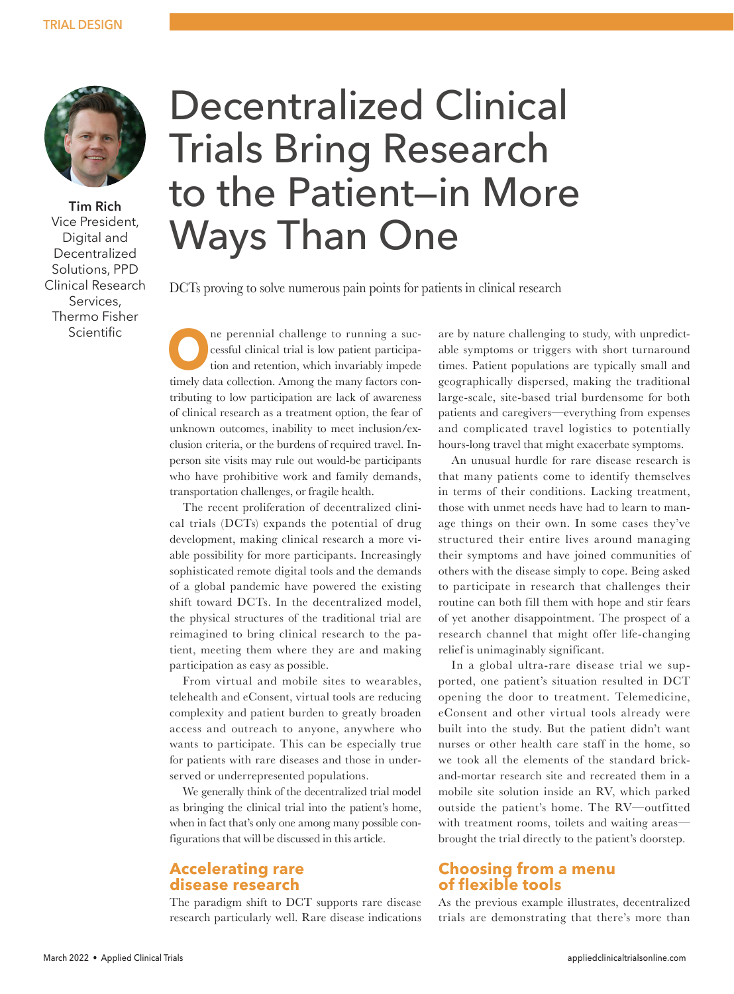

**Tim Rich** Vice President, Digital and Decentralized Solutions, PPD Clinical Research Services, Thermo Fisher Scientific

# Decentralized Clinical Trials Bring Research to the Patient—in More Ways Than One

DCTs proving to solve numerous pain points for patients in clinical research

**ORE SERVING THE PERIOD** THE PERIOD CONFIDENTIAL SURFACTOR CONFIDENTIAL SURFACTOR CONFIDENTIAL SURFACTOR CONFIDENTIAL SURFACTOR CONFIDENTIAL SURFACTOR CONFIDENTIAL SURFACTOR CONFIDENTIAL SURFACTOR CONFIDENTIAL SURFACTOR CO cessful clinical trial is low patient participation and retention, which invariably impede timely data collection. Among the many factors contributing to low participation are lack of awareness of clinical research as a treatment option, the fear of unknown outcomes, inability to meet inclusion/exclusion criteria, or the burdens of required travel. Inperson site visits may rule out would-be participants who have prohibitive work and family demands, transportation challenges, or fragile health.

The recent proliferation of decentralized clinical trials (DCTs) expands the potential of drug development, making clinical research a more viable possibility for more participants. Increasingly sophisticated remote digital tools and the demands of a global pandemic have powered the existing shift toward DCTs. In the decentralized model, the physical structures of the traditional trial are reimagined to bring clinical research to the patient, meeting them where they are and making participation as easy as possible.

From virtual and mobile sites to wearables, telehealth and eConsent, virtual tools are reducing complexity and patient burden to greatly broaden access and outreach to anyone, anywhere who wants to participate. This can be especially true for patients with rare diseases and those in underserved or underrepresented populations.

We generally think of the decentralized trial model as bringing the clinical trial into the patient's home, when in fact that's only one among many possible configurations that will be discussed in this article.

## **Accelerating rare disease research**

The paradigm shift to DCT supports rare disease research particularly well. Rare disease indications are by nature challenging to study, with unpredictable symptoms or triggers with short turnaround times. Patient populations are typically small and geographically dispersed, making the traditional large-scale, site-based trial burdensome for both patients and caregivers—everything from expenses and complicated travel logistics to potentially hours-long travel that might exacerbate symptoms.

An unusual hurdle for rare disease research is that many patients come to identify themselves in terms of their conditions. Lacking treatment, those with unmet needs have had to learn to manage things on their own. In some cases they've structured their entire lives around managing their symptoms and have joined communities of others with the disease simply to cope. Being asked to participate in research that challenges their routine can both fill them with hope and stir fears of yet another disappointment. The prospect of a research channel that might offer life-changing relief is unimaginably significant.

In a global ultra-rare disease trial we supported, one patient's situation resulted in DCT opening the door to treatment. Telemedicine, eConsent and other virtual tools already were built into the study. But the patient didn't want nurses or other health care staff in the home, so we took all the elements of the standard brickand-mortar research site and recreated them in a mobile site solution inside an RV, which parked outside the patient's home. The RV—outfitted with treatment rooms, toilets and waiting areas brought the trial directly to the patient's doorstep.

## **Choosing from a menu of flexible tools**

As the previous example illustrates, decentralized trials are demonstrating that there's more than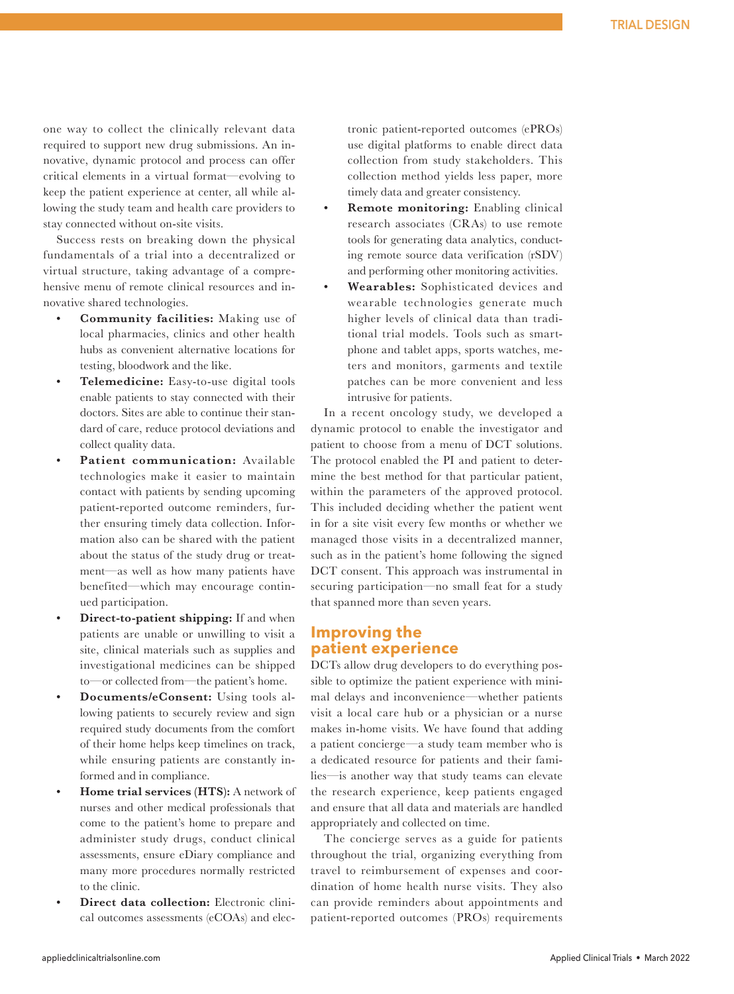one way to collect the clinically relevant data required to support new drug submissions. An innovative, dynamic protocol and process can offer critical elements in a virtual format—evolving to keep the patient experience at center, all while allowing the study team and health care providers to stay connected without on-site visits.

Success rests on breaking down the physical fundamentals of a trial into a decentralized or virtual structure, taking advantage of a comprehensive menu of remote clinical resources and innovative shared technologies.

- **• Community facilities:** Making use of local pharmacies, clinics and other health hubs as convenient alternative locations for testing, bloodwork and the like.
- **• Telemedicine:** Easy-to-use digital tools enable patients to stay connected with their doctors. Sites are able to continue their standard of care, reduce protocol deviations and collect quality data.
- **• Patient communication:** Available technologies make it easier to maintain contact with patients by sending upcoming patient-reported outcome reminders, further ensuring timely data collection. Information also can be shared with the patient about the status of the study drug or treatment—as well as how many patients have benefited—which may encourage continued participation.
- **• Direct-to-patient shipping:** If and when patients are unable or unwilling to visit a site, clinical materials such as supplies and investigational medicines can be shipped to—or collected from—the patient's home.
- **• Documents/eConsent:** Using tools allowing patients to securely review and sign required study documents from the comfort of their home helps keep timelines on track, while ensuring patients are constantly informed and in compliance.
- **• Home trial services (HTS):** A network of nurses and other medical professionals that come to the patient's home to prepare and administer study drugs, conduct clinical assessments, ensure eDiary compliance and many more procedures normally restricted to the clinic.
- **• Direct data collection:** Electronic clinical outcomes assessments (eCOAs) and elec-

tronic patient-reported outcomes (ePROs) use digital platforms to enable direct data collection from study stakeholders. This collection method yields less paper, more timely data and greater consistency.

- **• Remote monitoring:** Enabling clinical research associates (CRAs) to use remote tools for generating data analytics, conducting remote source data verification (rSDV) and performing other monitoring activities.
- **• Wearables:** Sophisticated devices and wearable technologies generate much higher levels of clinical data than traditional trial models. Tools such as smartphone and tablet apps, sports watches, meters and monitors, garments and textile patches can be more convenient and less intrusive for patients.

In a recent oncology study, we developed a dynamic protocol to enable the investigator and patient to choose from a menu of DCT solutions. The protocol enabled the PI and patient to determine the best method for that particular patient, within the parameters of the approved protocol. This included deciding whether the patient went in for a site visit every few months or whether we managed those visits in a decentralized manner, such as in the patient's home following the signed DCT consent. This approach was instrumental in securing participation—no small feat for a study that spanned more than seven years.

## **Improving the patient experience**

DCTs allow drug developers to do everything possible to optimize the patient experience with minimal delays and inconvenience—whether patients visit a local care hub or a physician or a nurse makes in-home visits. We have found that adding a patient concierge—a study team member who is a dedicated resource for patients and their families—is another way that study teams can elevate the research experience, keep patients engaged and ensure that all data and materials are handled appropriately and collected on time.

The concierge serves as a guide for patients throughout the trial, organizing everything from travel to reimbursement of expenses and coordination of home health nurse visits. They also can provide reminders about appointments and patient-reported outcomes (PROs) requirements